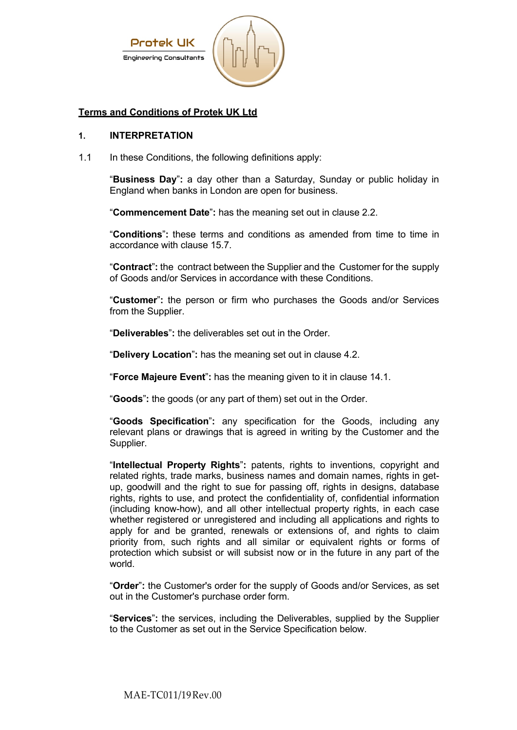

# **Terms and Conditions of Protek UK Ltd**

#### **1. INTERPRETATION**

1.1 In these Conditions, the following definitions apply:

"**Business Day**"**:** a day other than a Saturday, Sunday or public holiday in England when banks in London are open for business.

"**Commencement Date**"**:** has the meaning set out in clause 2.2.

"**Conditions**"**:** these terms and conditions as amended from time to time in accordance with clause 15.7.

"**Contract**"**:** the contract between the Supplier and the Customer for the supply of Goods and/or Services in accordance with these Conditions.

"**Customer**"**:** the person or firm who purchases the Goods and/or Services from the Supplier.

"**Deliverables**"**:** the deliverables set out in the Order.

"**Delivery Location**"**:** has the meaning set out in clause 4.2.

"**Force Majeure Event**"**:** has the meaning given to it in clause 14.1.

"**Goods**"**:** the goods (or any part of them) set out in the Order.

"**Goods Specification**"**:** any specification for the Goods, including any relevant plans or drawings that is agreed in writing by the Customer and the Supplier.

"**Intellectual Property Rights**"**:** patents, rights to inventions, copyright and related rights, trade marks, business names and domain names, rights in getup, goodwill and the right to sue for passing off, rights in designs, database rights, rights to use, and protect the confidentiality of, confidential information (including know-how), and all other intellectual property rights, in each case whether registered or unregistered and including all applications and rights to apply for and be granted, renewals or extensions of, and rights to claim priority from, such rights and all similar or equivalent rights or forms of protection which subsist or will subsist now or in the future in any part of the world.

"**Order**"**:** the Customer's order for the supply of Goods and/or Services, as set out in the Customer's purchase order form.

"**Services**"**:** the services, including the Deliverables, supplied by the Supplier to the Customer as set out in the Service Specification below.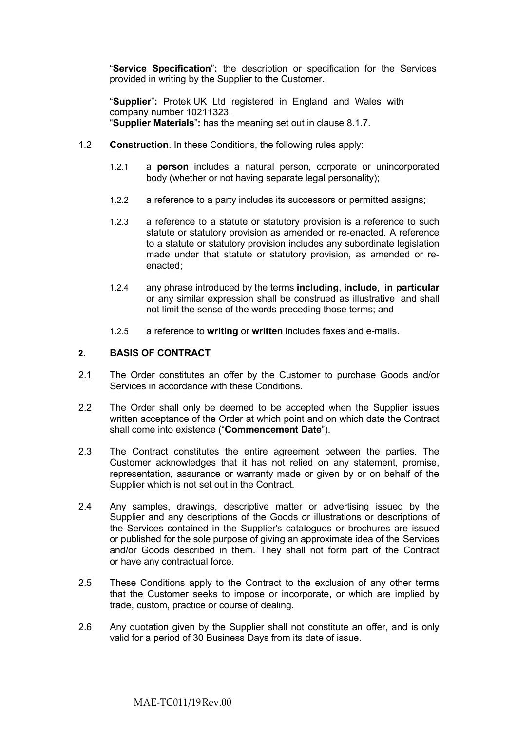"**Service Specification**"**:** the description or specification for the Services provided in writing by the Supplier to the Customer.

"**Supplier**"**:** Protek UK Ltd registered in England and Wales with company number 10211323. "**Supplier Materials**"**:** has the meaning set out in clause 8.1.7.

- 1.2 **Construction**. In these Conditions, the following rules apply:
	- 1.2.1 a **person** includes a natural person, corporate or unincorporated body (whether or not having separate legal personality);
	- 1.2.2 a reference to a party includes its successors or permitted assigns;
	- 1.2.3 a reference to a statute or statutory provision is a reference to such statute or statutory provision as amended or re-enacted. A reference to a statute or statutory provision includes any subordinate legislation made under that statute or statutory provision, as amended or reenacted;
	- 1.2.4 any phrase introduced by the terms **including**, **include**, **in particular** or any similar expression shall be construed as illustrative and shall not limit the sense of the words preceding those terms; and
	- 1.2.5 a reference to **writing** or **written** includes faxes and e-mails.

#### **2. BASIS OF CONTRACT**

- 2.1 The Order constitutes an offer by the Customer to purchase Goods and/or Services in accordance with these Conditions.
- 2.2 The Order shall only be deemed to be accepted when the Supplier issues written acceptance of the Order at which point and on which date the Contract shall come into existence ("**Commencement Date**").
- 2.3 The Contract constitutes the entire agreement between the parties. The Customer acknowledges that it has not relied on any statement, promise, representation, assurance or warranty made or given by or on behalf of the Supplier which is not set out in the Contract.
- 2.4 Any samples, drawings, descriptive matter or advertising issued by the Supplier and any descriptions of the Goods or illustrations or descriptions of the Services contained in the Supplier's catalogues or brochures are issued or published for the sole purpose of giving an approximate idea of the Services and/or Goods described in them. They shall not form part of the Contract or have any contractual force.
- 2.5 These Conditions apply to the Contract to the exclusion of any other terms that the Customer seeks to impose or incorporate, or which are implied by trade, custom, practice or course of dealing.
- 2.6 Any quotation given by the Supplier shall not constitute an offer, and is only valid for a period of 30 Business Days from its date of issue.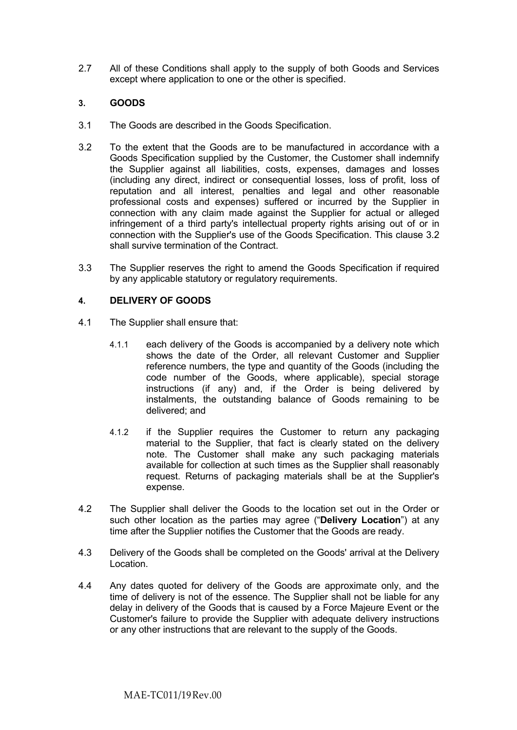2.7 All of these Conditions shall apply to the supply of both Goods and Services except where application to one or the other is specified.

# **3. GOODS**

- 3.1 The Goods are described in the Goods Specification.
- 3.2 To the extent that the Goods are to be manufactured in accordance with a Goods Specification supplied by the Customer, the Customer shall indemnify the Supplier against all liabilities, costs, expenses, damages and losses (including any direct, indirect or consequential losses, loss of profit, loss of reputation and all interest, penalties and legal and other reasonable professional costs and expenses) suffered or incurred by the Supplier in connection with any claim made against the Supplier for actual or alleged infringement of a third party's intellectual property rights arising out of or in connection with the Supplier's use of the Goods Specification. This clause 3.2 shall survive termination of the Contract.
- 3.3 The Supplier reserves the right to amend the Goods Specification if required by any applicable statutory or regulatory requirements.

# **4. DELIVERY OF GOODS**

- 4.1 The Supplier shall ensure that:
	- 4.1.1 each delivery of the Goods is accompanied by a delivery note which shows the date of the Order, all relevant Customer and Supplier reference numbers, the type and quantity of the Goods (including the code number of the Goods, where applicable), special storage instructions (if any) and, if the Order is being delivered by instalments, the outstanding balance of Goods remaining to be delivered; and
	- 4.1.2 if the Supplier requires the Customer to return any packaging material to the Supplier, that fact is clearly stated on the delivery note. The Customer shall make any such packaging materials available for collection at such times as the Supplier shall reasonably request. Returns of packaging materials shall be at the Supplier's expense.
- 4.2 The Supplier shall deliver the Goods to the location set out in the Order or such other location as the parties may agree ("**Delivery Location**") at any time after the Supplier notifies the Customer that the Goods are ready.
- 4.3 Delivery of the Goods shall be completed on the Goods' arrival at the Delivery Location.
- 4.4 Any dates quoted for delivery of the Goods are approximate only, and the time of delivery is not of the essence. The Supplier shall not be liable for any delay in delivery of the Goods that is caused by a Force Majeure Event or the Customer's failure to provide the Supplier with adequate delivery instructions or any other instructions that are relevant to the supply of the Goods.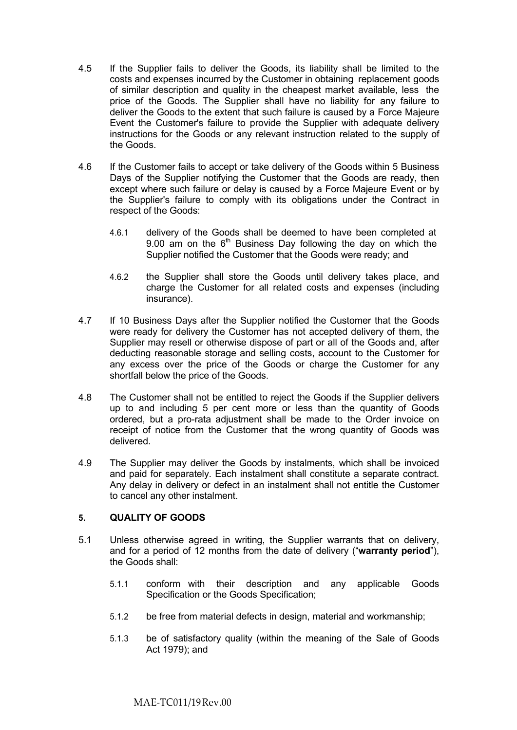- 4.5 If the Supplier fails to deliver the Goods, its liability shall be limited to the costs and expenses incurred by the Customer in obtaining replacement goods of similar description and quality in the cheapest market available, less the price of the Goods. The Supplier shall have no liability for any failure to deliver the Goods to the extent that such failure is caused by a Force Majeure Event the Customer's failure to provide the Supplier with adequate delivery instructions for the Goods or any relevant instruction related to the supply of the Goods.
- 4.6 If the Customer fails to accept or take delivery of the Goods within 5 Business Days of the Supplier notifying the Customer that the Goods are ready, then except where such failure or delay is caused by a Force Majeure Event or by the Supplier's failure to comply with its obligations under the Contract in respect of the Goods:
	- 4.6.1 delivery of the Goods shall be deemed to have been completed at 9.00 am on the  $6<sup>th</sup>$  Business Day following the day on which the Supplier notified the Customer that the Goods were ready; and
	- 4.6.2 the Supplier shall store the Goods until delivery takes place, and charge the Customer for all related costs and expenses (including insurance).
- 4.7 If 10 Business Days after the Supplier notified the Customer that the Goods were ready for delivery the Customer has not accepted delivery of them, the Supplier may resell or otherwise dispose of part or all of the Goods and, after deducting reasonable storage and selling costs, account to the Customer for any excess over the price of the Goods or charge the Customer for any shortfall below the price of the Goods.
- 4.8 The Customer shall not be entitled to reject the Goods if the Supplier delivers up to and including 5 per cent more or less than the quantity of Goods ordered, but a pro-rata adjustment shall be made to the Order invoice on receipt of notice from the Customer that the wrong quantity of Goods was delivered.
- 4.9 The Supplier may deliver the Goods by instalments, which shall be invoiced and paid for separately. Each instalment shall constitute a separate contract. Any delay in delivery or defect in an instalment shall not entitle the Customer to cancel any other instalment.

# **5. QUALITY OF GOODS**

- 5.1 Unless otherwise agreed in writing, the Supplier warrants that on delivery, and for a period of 12 months from the date of delivery ("**warranty period**"), the Goods shall:
	- 5.1.1 conform with their description and any applicable Goods Specification or the Goods Specification;
	- 5.1.2 be free from material defects in design, material and workmanship;
	- 5.1.3 be of satisfactory quality (within the meaning of the Sale of Goods Act 1979); and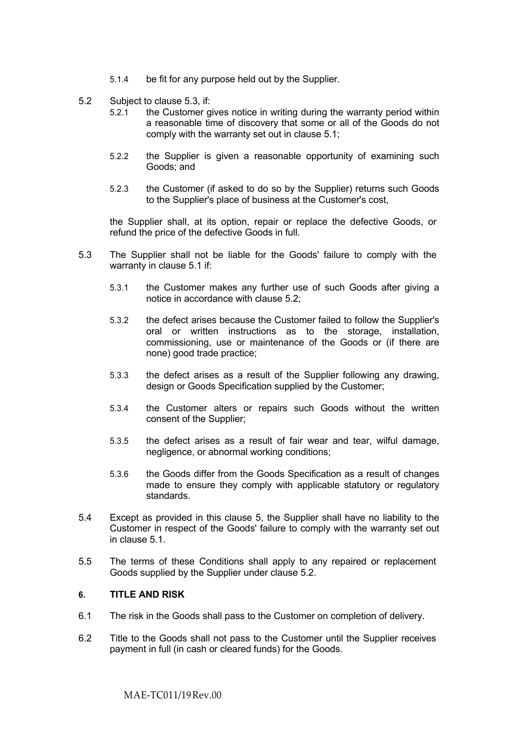- 5.1.4 be fit for any purpose held out by the Supplier.
- 5.2 Subject to clause 5.3, if:
	- 5.2.1 the Customer gives notice in writing during the warranty period within a reasonable time of discovery that some or all of the Goods do not comply with the warranty set out in clause 5.1;
	- 5.2.2 the Supplier is given a reasonable opportunity of examining such Goods; and
	- 5.2.3 the Customer (if asked to do so by the Supplier) returns such Goods to the Supplier's place of business at the Customer's cost,

the Supplier shall, at its option, repair or replace the defective Goods, or refund the price of the defective Goods in full.

- 5.3 The Supplier shall not be liable for the Goods' failure to comply with the warranty in clause 5.1 if:
	- 5.3.1 the Customer makes any further use of such Goods after giving a notice in accordance with clause 5.2;
	- 5.3.2 the defect arises because the Customer failed to follow the Supplier's oral or written instructions as to the storage, installation, commissioning, use or maintenance of the Goods or (if there are none) good trade practice;
	- 5.3.3 the defect arises as a result of the Supplier following any drawing, design or Goods Specification supplied by the Customer;
	- 5.3.4 the Customer alters or repairs such Goods without the written consent of the Supplier;
	- 5.3.5 the defect arises as a result of fair wear and tear, wilful damage, negligence, or abnormal working conditions;
	- 5.3.6 the Goods differ from the Goods Specification as a result of changes made to ensure they comply with applicable statutory or regulatory standards.
- 5.4 Except as provided in this clause 5, the Supplier shall have no liability to the Customer in respect of the Goods' failure to comply with the warranty set out in clause 5.1.
- 5.5 The terms of these Conditions shall apply to any repaired or replacement Goods supplied by the Supplier under clause 5.2.

#### **6. TITLE AND RISK**

- 6.1 The risk in the Goods shall pass to the Customer on completion of delivery.
- 6.2 Title to the Goods shall not pass to the Customer until the Supplier receives payment in full (in cash or cleared funds) for the Goods.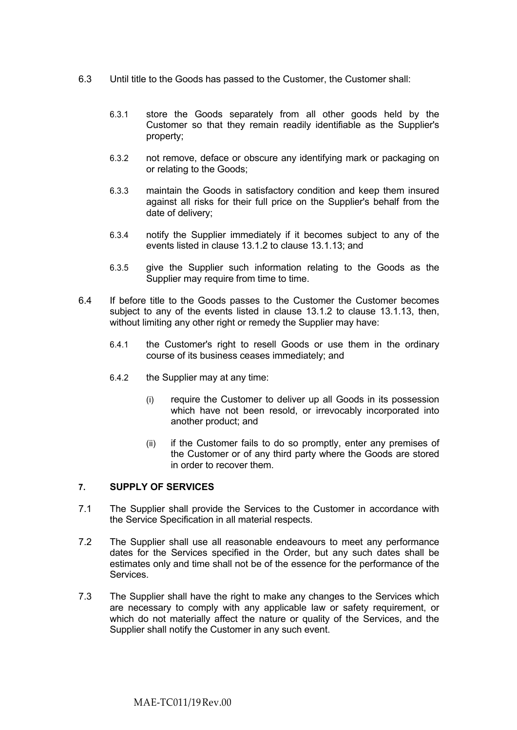- 6.3 Until title to the Goods has passed to the Customer, the Customer shall:
	- 6.3.1 store the Goods separately from all other goods held by the Customer so that they remain readily identifiable as the Supplier's property;
	- 6.3.2 not remove, deface or obscure any identifying mark or packaging on or relating to the Goods;
	- 6.3.3 maintain the Goods in satisfactory condition and keep them insured against all risks for their full price on the Supplier's behalf from the date of delivery;
	- 6.3.4 notify the Supplier immediately if it becomes subject to any of the events listed in clause 13.1.2 to clause 13.1.13; and
	- 6.3.5 give the Supplier such information relating to the Goods as the Supplier may require from time to time.
- 6.4 If before title to the Goods passes to the Customer the Customer becomes subject to any of the events listed in clause 13.1.2 to clause 13.1.13, then, without limiting any other right or remedy the Supplier may have:
	- 6.4.1 the Customer's right to resell Goods or use them in the ordinary course of its business ceases immediately; and
	- 6.4.2 the Supplier may at any time:
		- (i) require the Customer to deliver up all Goods in its possession which have not been resold, or irrevocably incorporated into another product; and
		- (ii) if the Customer fails to do so promptly, enter any premises of the Customer or of any third party where the Goods are stored in order to recover them.

# **7. SUPPLY OF SERVICES**

- 7.1 The Supplier shall provide the Services to the Customer in accordance with the Service Specification in all material respects.
- 7.2 The Supplier shall use all reasonable endeavours to meet any performance dates for the Services specified in the Order, but any such dates shall be estimates only and time shall not be of the essence for the performance of the Services.
- 7.3 The Supplier shall have the right to make any changes to the Services which are necessary to comply with any applicable law or safety requirement, or which do not materially affect the nature or quality of the Services, and the Supplier shall notify the Customer in any such event.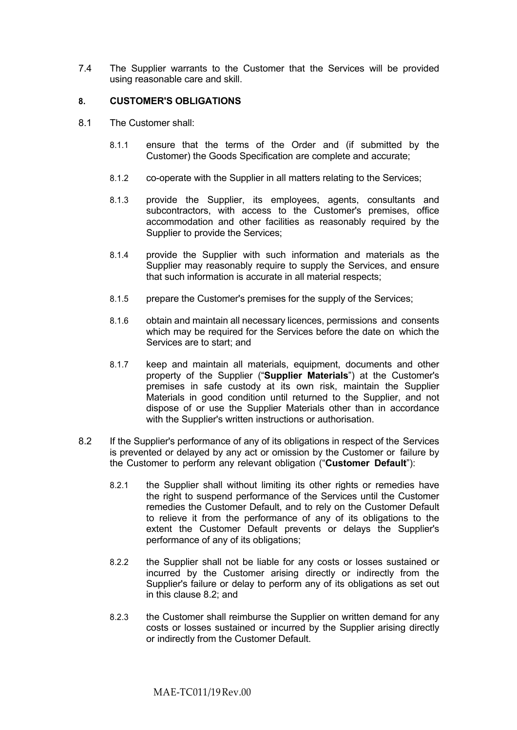7.4 The Supplier warrants to the Customer that the Services will be provided using reasonable care and skill.

### **8. CUSTOMER'S OBLIGATIONS**

- 8.1 The Customer shall:
	- 8.1.1 ensure that the terms of the Order and (if submitted by the Customer) the Goods Specification are complete and accurate;
	- 8.1.2 co-operate with the Supplier in all matters relating to the Services;
	- 8.1.3 provide the Supplier, its employees, agents, consultants and subcontractors, with access to the Customer's premises, office accommodation and other facilities as reasonably required by the Supplier to provide the Services;
	- 8.1.4 provide the Supplier with such information and materials as the Supplier may reasonably require to supply the Services, and ensure that such information is accurate in all material respects;
	- 8.1.5 prepare the Customer's premises for the supply of the Services;
	- 8.1.6 obtain and maintain all necessary licences, permissions and consents which may be required for the Services before the date on which the Services are to start; and
	- 8.1.7 keep and maintain all materials, equipment, documents and other property of the Supplier ("**Supplier Materials**") at the Customer's premises in safe custody at its own risk, maintain the Supplier Materials in good condition until returned to the Supplier, and not dispose of or use the Supplier Materials other than in accordance with the Supplier's written instructions or authorisation.
- 8.2 If the Supplier's performance of any of its obligations in respect of the Services is prevented or delayed by any act or omission by the Customer or failure by the Customer to perform any relevant obligation ("**Customer Default**"):
	- 8.2.1 the Supplier shall without limiting its other rights or remedies have the right to suspend performance of the Services until the Customer remedies the Customer Default, and to rely on the Customer Default to relieve it from the performance of any of its obligations to the extent the Customer Default prevents or delays the Supplier's performance of any of its obligations;
	- 8.2.2 the Supplier shall not be liable for any costs or losses sustained or incurred by the Customer arising directly or indirectly from the Supplier's failure or delay to perform any of its obligations as set out in this clause 8.2; and
	- 8.2.3 the Customer shall reimburse the Supplier on written demand for any costs or losses sustained or incurred by the Supplier arising directly or indirectly from the Customer Default.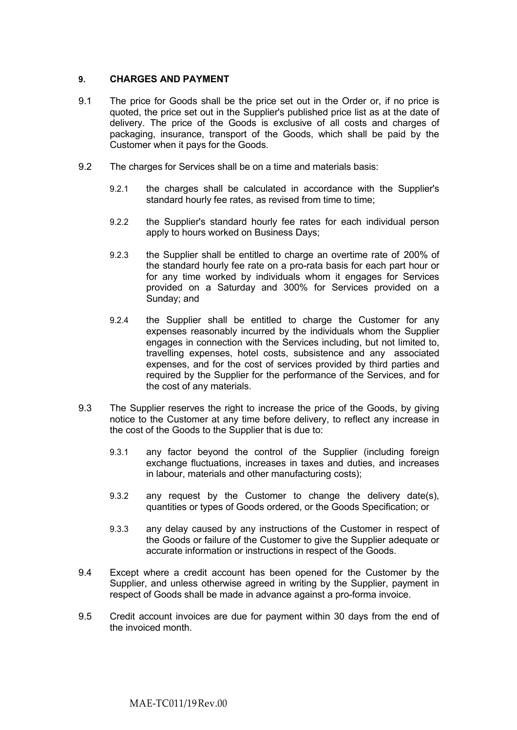# **9. CHARGES AND PAYMENT**

- 9.1 The price for Goods shall be the price set out in the Order or, if no price is quoted, the price set out in the Supplier's published price list as at the date of delivery. The price of the Goods is exclusive of all costs and charges of packaging, insurance, transport of the Goods, which shall be paid by the Customer when it pays for the Goods.
- 9.2 The charges for Services shall be on a time and materials basis:
	- 9.2.1 the charges shall be calculated in accordance with the Supplier's standard hourly fee rates, as revised from time to time;
	- 9.2.2 the Supplier's standard hourly fee rates for each individual person apply to hours worked on Business Days;
	- 9.2.3 the Supplier shall be entitled to charge an overtime rate of 200% of the standard hourly fee rate on a pro-rata basis for each part hour or for any time worked by individuals whom it engages for Services provided on a Saturday and 300% for Services provided on a Sunday; and
	- 9.2.4 the Supplier shall be entitled to charge the Customer for any expenses reasonably incurred by the individuals whom the Supplier engages in connection with the Services including, but not limited to, travelling expenses, hotel costs, subsistence and any associated expenses, and for the cost of services provided by third parties and required by the Supplier for the performance of the Services, and for the cost of any materials.
- 9.3 The Supplier reserves the right to increase the price of the Goods, by giving notice to the Customer at any time before delivery, to reflect any increase in the cost of the Goods to the Supplier that is due to:
	- 9.3.1 any factor beyond the control of the Supplier (including foreign exchange fluctuations, increases in taxes and duties, and increases in labour, materials and other manufacturing costs);
	- 9.3.2 any request by the Customer to change the delivery date(s), quantities or types of Goods ordered, or the Goods Specification; or
	- 9.3.3 any delay caused by any instructions of the Customer in respect of the Goods or failure of the Customer to give the Supplier adequate or accurate information or instructions in respect of the Goods.
- 9.4 Except where a credit account has been opened for the Customer by the Supplier, and unless otherwise agreed in writing by the Supplier, payment in respect of Goods shall be made in advance against a pro-forma invoice.
- 9.5 Credit account invoices are due for payment within 30 days from the end of the invoiced month.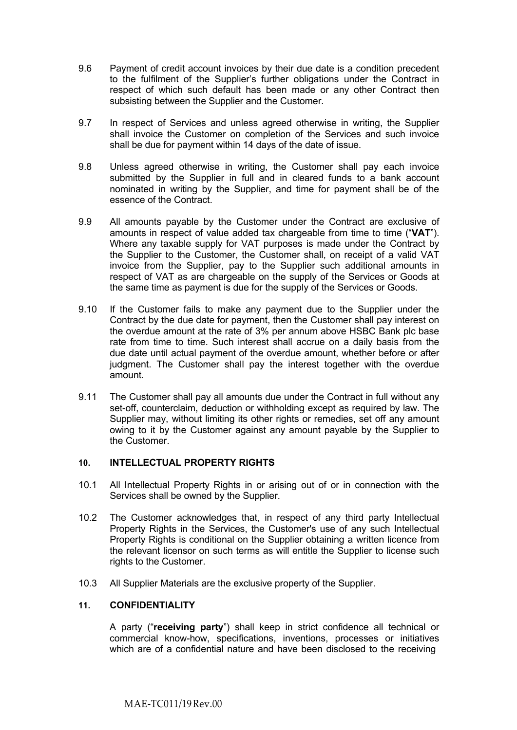- 9.6 Payment of credit account invoices by their due date is a condition precedent to the fulfilment of the Supplier's further obligations under the Contract in respect of which such default has been made or any other Contract then subsisting between the Supplier and the Customer.
- 9.7 In respect of Services and unless agreed otherwise in writing, the Supplier shall invoice the Customer on completion of the Services and such invoice shall be due for payment within 14 days of the date of issue.
- 9.8 Unless agreed otherwise in writing, the Customer shall pay each invoice submitted by the Supplier in full and in cleared funds to a bank account nominated in writing by the Supplier, and time for payment shall be of the essence of the Contract.
- 9.9 All amounts payable by the Customer under the Contract are exclusive of amounts in respect of value added tax chargeable from time to time ("**VAT**"). Where any taxable supply for VAT purposes is made under the Contract by the Supplier to the Customer, the Customer shall, on receipt of a valid VAT invoice from the Supplier, pay to the Supplier such additional amounts in respect of VAT as are chargeable on the supply of the Services or Goods at the same time as payment is due for the supply of the Services or Goods.
- 9.10 If the Customer fails to make any payment due to the Supplier under the Contract by the due date for payment, then the Customer shall pay interest on the overdue amount at the rate of 3% per annum above HSBC Bank plc base rate from time to time. Such interest shall accrue on a daily basis from the due date until actual payment of the overdue amount, whether before or after judgment. The Customer shall pay the interest together with the overdue amount.
- 9.11 The Customer shall pay all amounts due under the Contract in full without any set-off, counterclaim, deduction or withholding except as required by law. The Supplier may, without limiting its other rights or remedies, set off any amount owing to it by the Customer against any amount payable by the Supplier to the Customer.

# **10. INTELLECTUAL PROPERTY RIGHTS**

- 10.1 All Intellectual Property Rights in or arising out of or in connection with the Services shall be owned by the Supplier.
- 10.2 The Customer acknowledges that, in respect of any third party Intellectual Property Rights in the Services, the Customer's use of any such Intellectual Property Rights is conditional on the Supplier obtaining a written licence from the relevant licensor on such terms as will entitle the Supplier to license such rights to the Customer.
- 10.3 All Supplier Materials are the exclusive property of the Supplier.

# **11. CONFIDENTIALITY**

A party ("**receiving party**") shall keep in strict confidence all technical or commercial know-how, specifications, inventions, processes or initiatives which are of a confidential nature and have been disclosed to the receiving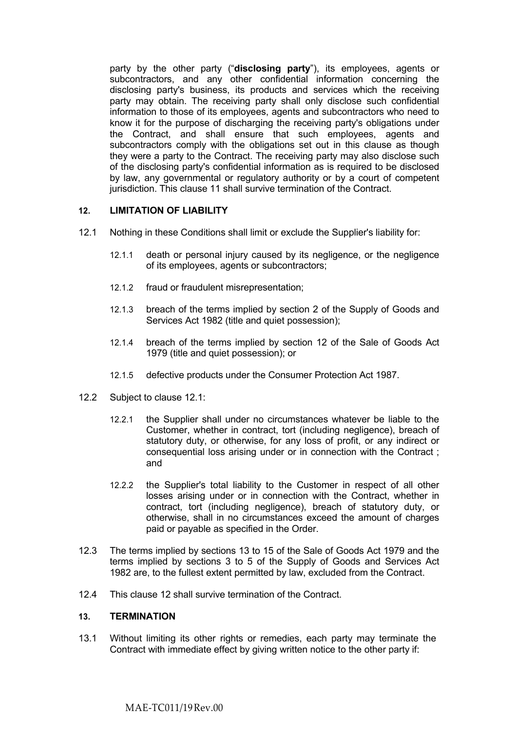party by the other party ("**disclosing party**"), its employees, agents or subcontractors, and any other confidential information concerning the disclosing party's business, its products and services which the receiving party may obtain. The receiving party shall only disclose such confidential information to those of its employees, agents and subcontractors who need to know it for the purpose of discharging the receiving party's obligations under the Contract, and shall ensure that such employees, agents and subcontractors comply with the obligations set out in this clause as though they were a party to the Contract. The receiving party may also disclose such of the disclosing party's confidential information as is required to be disclosed by law, any governmental or regulatory authority or by a court of competent jurisdiction. This clause 11 shall survive termination of the Contract.

# **12. LIMITATION OF LIABILITY**

- 12.1 Nothing in these Conditions shall limit or exclude the Supplier's liability for:
	- 12.1.1 death or personal injury caused by its negligence, or the negligence of its employees, agents or subcontractors;
	- 12.1.2 fraud or fraudulent misrepresentation;
	- 12.1.3 breach of the terms implied by section 2 of the Supply of Goods and Services Act 1982 (title and quiet possession);
	- 12.1.4 breach of the terms implied by section 12 of the Sale of Goods Act 1979 (title and quiet possession); or
	- 12.1.5 defective products under the Consumer Protection Act 1987.
- 12.2 Subject to clause 12.1:
	- 12.2.1 the Supplier shall under no circumstances whatever be liable to the Customer, whether in contract, tort (including negligence), breach of statutory duty, or otherwise, for any loss of profit, or any indirect or consequential loss arising under or in connection with the Contract ; and
	- 12.2.2 the Supplier's total liability to the Customer in respect of all other losses arising under or in connection with the Contract, whether in contract, tort (including negligence), breach of statutory duty, or otherwise, shall in no circumstances exceed the amount of charges paid or payable as specified in the Order.
- 12.3 The terms implied by sections 13 to 15 of the Sale of Goods Act 1979 and the terms implied by sections 3 to 5 of the Supply of Goods and Services Act 1982 are, to the fullest extent permitted by law, excluded from the Contract.
- 12.4 This clause 12 shall survive termination of the Contract.

# **13. TERMINATION**

13.1 Without limiting its other rights or remedies, each party may terminate the Contract with immediate effect by giving written notice to the other party if: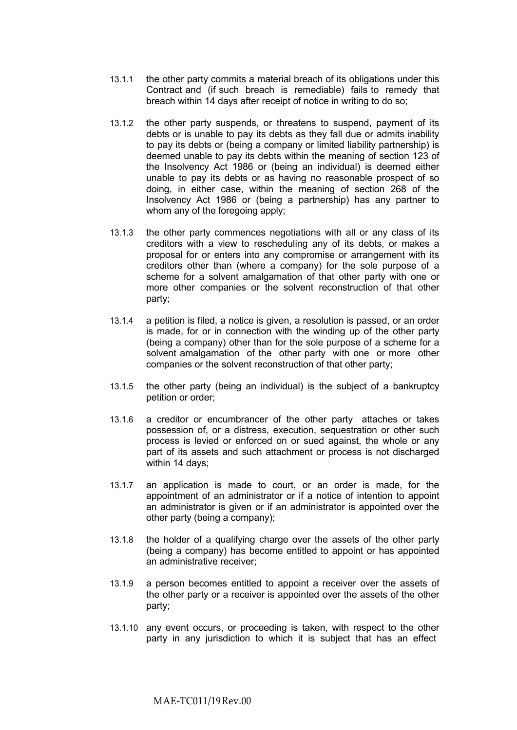- 13.1.1 the other party commits a material breach of its obligations under this Contract and (if such breach is remediable) fails to remedy that breach within 14 days after receipt of notice in writing to do so;
- 13.1.2 the other party suspends, or threatens to suspend, payment of its debts or is unable to pay its debts as they fall due or admits inability to pay its debts or (being a company or limited liability partnership) is deemed unable to pay its debts within the meaning of section 123 of the Insolvency Act 1986 or (being an individual) is deemed either unable to pay its debts or as having no reasonable prospect of so doing, in either case, within the meaning of section 268 of the Insolvency Act 1986 or (being a partnership) has any partner to whom any of the foregoing apply;
- 13.1.3 the other party commences negotiations with all or any class of its creditors with a view to rescheduling any of its debts, or makes a proposal for or enters into any compromise or arrangement with its creditors other than (where a company) for the sole purpose of a scheme for a solvent amalgamation of that other party with one or more other companies or the solvent reconstruction of that other party;
- 13.1.4 a petition is filed, a notice is given, a resolution is passed, or an order is made, for or in connection with the winding up of the other party (being a company) other than for the sole purpose of a scheme for a solvent amalgamation of the other party with one or more other companies or the solvent reconstruction of that other party;
- 13.1.5 the other party (being an individual) is the subject of a bankruptcy petition or order;
- 13.1.6 a creditor or encumbrancer of the other party attaches or takes possession of, or a distress, execution, sequestration or other such process is levied or enforced on or sued against, the whole or any part of its assets and such attachment or process is not discharged within 14 days;
- 13.1.7 an application is made to court, or an order is made, for the appointment of an administrator or if a notice of intention to appoint an administrator is given or if an administrator is appointed over the other party (being a company);
- 13.1.8 the holder of a qualifying charge over the assets of the other party (being a company) has become entitled to appoint or has appointed an administrative receiver;
- 13.1.9 a person becomes entitled to appoint a receiver over the assets of the other party or a receiver is appointed over the assets of the other party;
- 13.1.10 any event occurs, or proceeding is taken, with respect to the other party in any jurisdiction to which it is subject that has an effect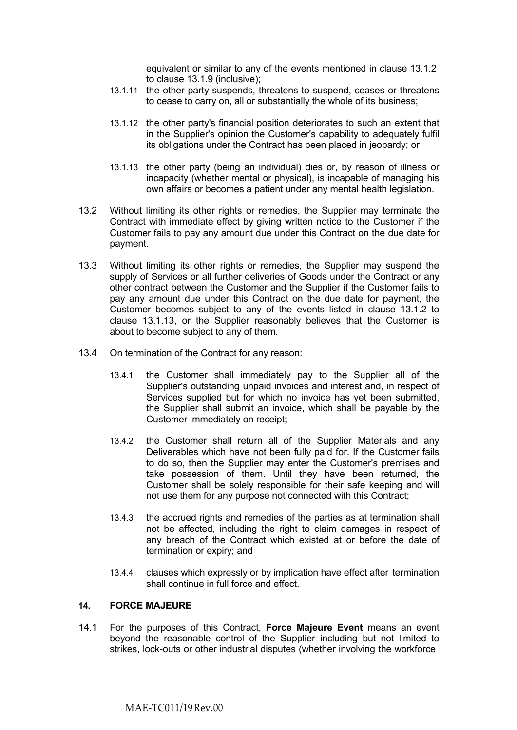equivalent or similar to any of the events mentioned in clause 13.1.2 to clause 13.1.9 (inclusive);

- 13.1.11 the other party suspends, threatens to suspend, ceases or threatens to cease to carry on, all or substantially the whole of its business;
- 13.1.12 the other party's financial position deteriorates to such an extent that in the Supplier's opinion the Customer's capability to adequately fulfil its obligations under the Contract has been placed in jeopardy; or
- 13.1.13 the other party (being an individual) dies or, by reason of illness or incapacity (whether mental or physical), is incapable of managing his own affairs or becomes a patient under any mental health legislation.
- 13.2 Without limiting its other rights or remedies, the Supplier may terminate the Contract with immediate effect by giving written notice to the Customer if the Customer fails to pay any amount due under this Contract on the due date for payment.
- 13.3 Without limiting its other rights or remedies, the Supplier may suspend the supply of Services or all further deliveries of Goods under the Contract or any other contract between the Customer and the Supplier if the Customer fails to pay any amount due under this Contract on the due date for payment, the Customer becomes subject to any of the events listed in clause 13.1.2 to clause 13.1.13, or the Supplier reasonably believes that the Customer is about to become subject to any of them.
- 13.4 On termination of the Contract for any reason:
	- 13.4.1 the Customer shall immediately pay to the Supplier all of the Supplier's outstanding unpaid invoices and interest and, in respect of Services supplied but for which no invoice has yet been submitted, the Supplier shall submit an invoice, which shall be payable by the Customer immediately on receipt;
	- 13.4.2 the Customer shall return all of the Supplier Materials and any Deliverables which have not been fully paid for. If the Customer fails to do so, then the Supplier may enter the Customer's premises and take possession of them. Until they have been returned, the Customer shall be solely responsible for their safe keeping and will not use them for any purpose not connected with this Contract;
	- 13.4.3 the accrued rights and remedies of the parties as at termination shall not be affected, including the right to claim damages in respect of any breach of the Contract which existed at or before the date of termination or expiry; and
	- 13.4.4 clauses which expressly or by implication have effect after termination shall continue in full force and effect.

# **14. FORCE MAJEURE**

14.1 For the purposes of this Contract, **Force Majeure Event** means an event beyond the reasonable control of the Supplier including but not limited to strikes, lock-outs or other industrial disputes (whether involving the workforce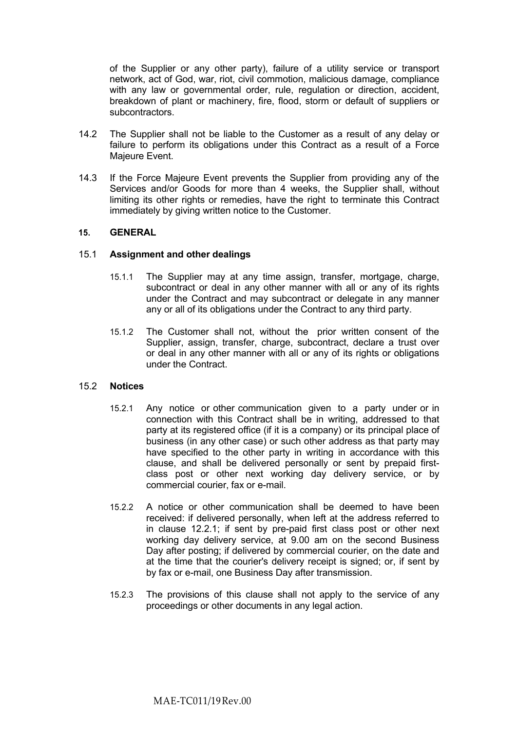of the Supplier or any other party), failure of a utility service or transport network, act of God, war, riot, civil commotion, malicious damage, compliance with any law or governmental order, rule, regulation or direction, accident, breakdown of plant or machinery, fire, flood, storm or default of suppliers or subcontractors.

- 14.2 The Supplier shall not be liable to the Customer as a result of any delay or failure to perform its obligations under this Contract as a result of a Force Majeure Event.
- 14.3 If the Force Majeure Event prevents the Supplier from providing any of the Services and/or Goods for more than 4 weeks, the Supplier shall, without limiting its other rights or remedies, have the right to terminate this Contract immediately by giving written notice to the Customer.

### **15. GENERAL**

#### 15.1 **Assignment and other dealings**

- 15.1.1 The Supplier may at any time assign, transfer, mortgage, charge, subcontract or deal in any other manner with all or any of its rights under the Contract and may subcontract or delegate in any manner any or all of its obligations under the Contract to any third party.
- 15.1.2 The Customer shall not, without the prior written consent of the Supplier, assign, transfer, charge, subcontract, declare a trust over or deal in any other manner with all or any of its rights or obligations under the Contract.

#### 15.2 **Notices**

- 15.2.1 Any notice or other communication given to a party under or in connection with this Contract shall be in writing, addressed to that party at its registered office (if it is a company) or its principal place of business (in any other case) or such other address as that party may have specified to the other party in writing in accordance with this clause, and shall be delivered personally or sent by prepaid firstclass post or other next working day delivery service, or by commercial courier, fax or e-mail.
- 15.2.2 A notice or other communication shall be deemed to have been received: if delivered personally, when left at the address referred to in clause 12.2.1; if sent by pre-paid first class post or other next working day delivery service, at 9.00 am on the second Business Day after posting; if delivered by commercial courier, on the date and at the time that the courier's delivery receipt is signed; or, if sent by by fax or e-mail, one Business Day after transmission.
- 15.2.3 The provisions of this clause shall not apply to the service of any proceedings or other documents in any legal action.